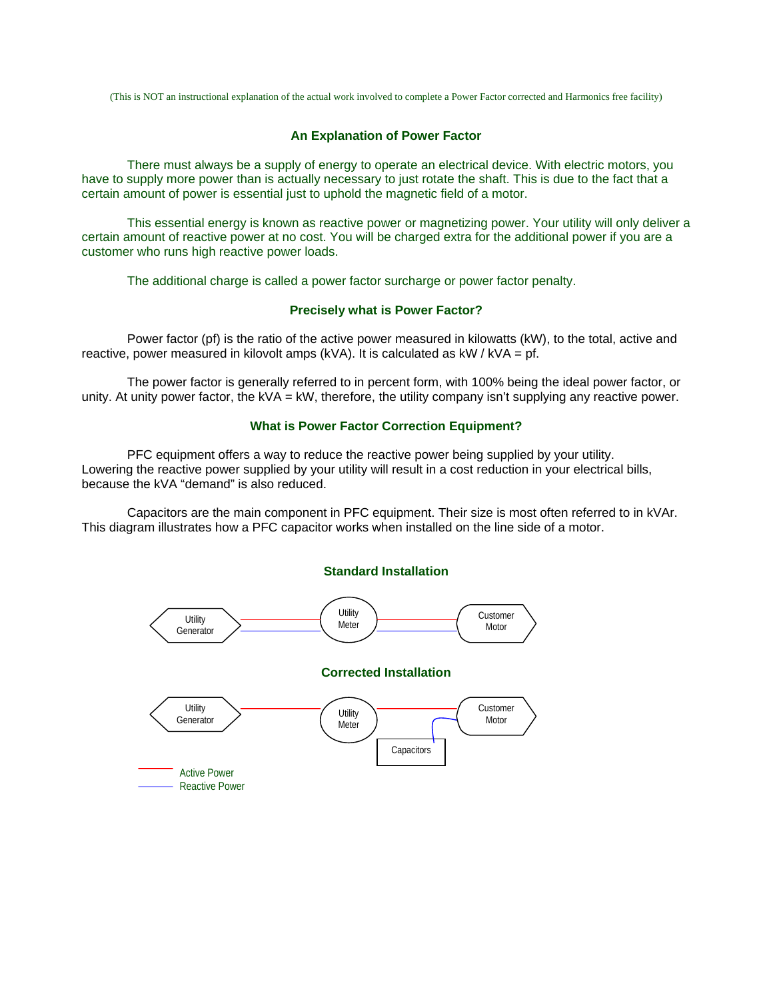(This is NOT an instructional explanation of the actual work involved to complete a Power Factor corrected and Harmonics free facility)

# **An Explanation of Power Factor**

There must always be a supply of energy to operate an electrical device. With electric motors, you have to supply more power than is actually necessary to just rotate the shaft. This is due to the fact that a certain amount of power is essential just to uphold the magnetic field of a motor.

This essential energy is known as reactive power or magnetizing power. Your utility will only deliver a certain amount of reactive power at no cost. You will be charged extra for the additional power if you are a customer who runs high reactive power loads.

The additional charge is called a power factor surcharge or power factor penalty.

# **Precisely what is Power Factor?**

Power factor (pf) is the ratio of the active power measured in kilowatts (kW), to the total, active and reactive, power measured in kilovolt amps (kVA). It is calculated as  $kW / kVA = pf$ .

The power factor is generally referred to in percent form, with 100% being the ideal power factor, or unity. At unity power factor, the kVA = kW, therefore, the utility company isn't supplying any reactive power.

### **What is Power Factor Correction Equipment?**

PFC equipment offers a way to reduce the reactive power being supplied by your utility. Lowering the reactive power supplied by your utility will result in a cost reduction in your electrical bills, because the kVA "demand" is also reduced.

Capacitors are the main component in PFC equipment. Their size is most often referred to in kVAr. This diagram illustrates how a PFC capacitor works when installed on the line side of a motor.

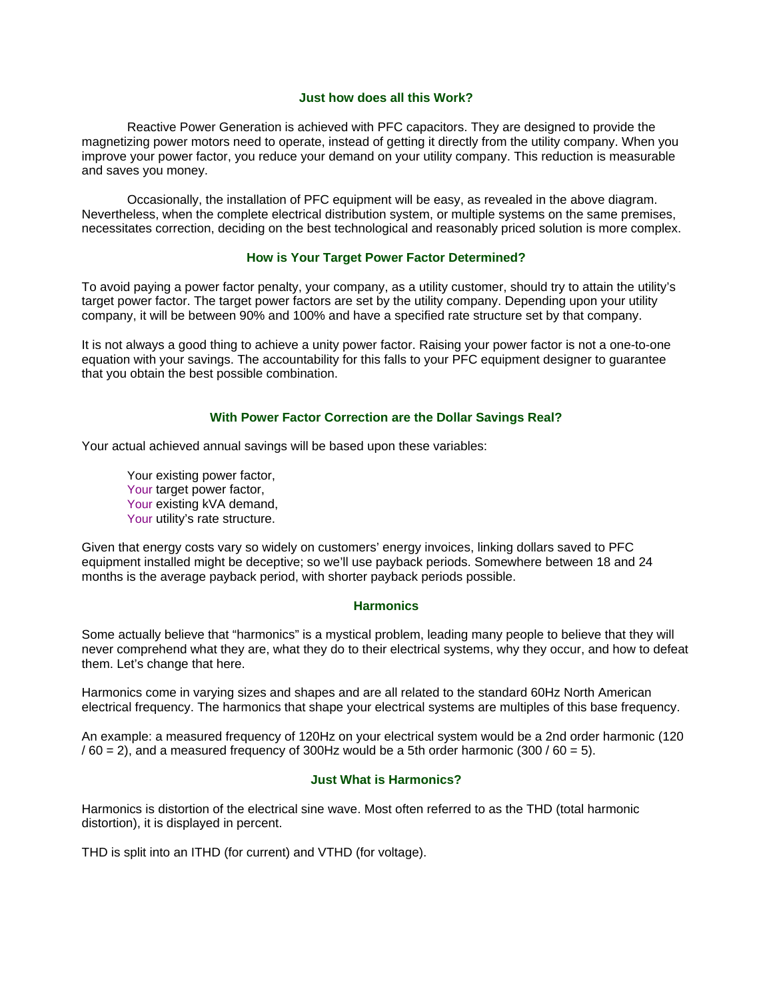### **Just how does all this Work?**

Reactive Power Generation is achieved with PFC capacitors. They are designed to provide the magnetizing power motors need to operate, instead of getting it directly from the utility company. When you improve your power factor, you reduce your demand on your utility company. This reduction is measurable and saves you money.

Occasionally, the installation of PFC equipment will be easy, as revealed in the above diagram. Nevertheless, when the complete electrical distribution system, or multiple systems on the same premises, necessitates correction, deciding on the best technological and reasonably priced solution is more complex.

# **How is Your Target Power Factor Determined?**

To avoid paying a power factor penalty, your company, as a utility customer, should try to attain the utility's target power factor. The target power factors are set by the utility company. Depending upon your utility company, it will be between 90% and 100% and have a specified rate structure set by that company.

It is not always a good thing to achieve a unity power factor. Raising your power factor is not a one-to-one equation with your savings. The accountability for this falls to your PFC equipment designer to guarantee that you obtain the best possible combination.

## **With Power Factor Correction are the Dollar Savings Real?**

Your actual achieved annual savings will be based upon these variables:

Your existing power factor, Your target power factor, Your existing kVA demand, Your utility's rate structure.

Given that energy costs vary so widely on customers' energy invoices, linking dollars saved to PFC equipment installed might be deceptive; so we'll use payback periods. Somewhere between 18 and 24 months is the average payback period, with shorter payback periods possible.

### **Harmonics**

Some actually believe that "harmonics" is a mystical problem, leading many people to believe that they will never comprehend what they are, what they do to their electrical systems, why they occur, and how to defeat them. Let's change that here.

Harmonics come in varying sizes and shapes and are all related to the standard 60Hz North American electrical frequency. The harmonics that shape your electrical systems are multiples of this base frequency.

An example: a measured frequency of 120Hz on your electrical system would be a 2nd order harmonic (120  $/ 60 = 2$ ), and a measured frequency of 300Hz would be a 5th order harmonic (300  $/ 60 = 5$ ).

### **Just What is Harmonics?**

Harmonics is distortion of the electrical sine wave. Most often referred to as the THD (total harmonic distortion), it is displayed in percent.

THD is split into an ITHD (for current) and VTHD (for voltage).